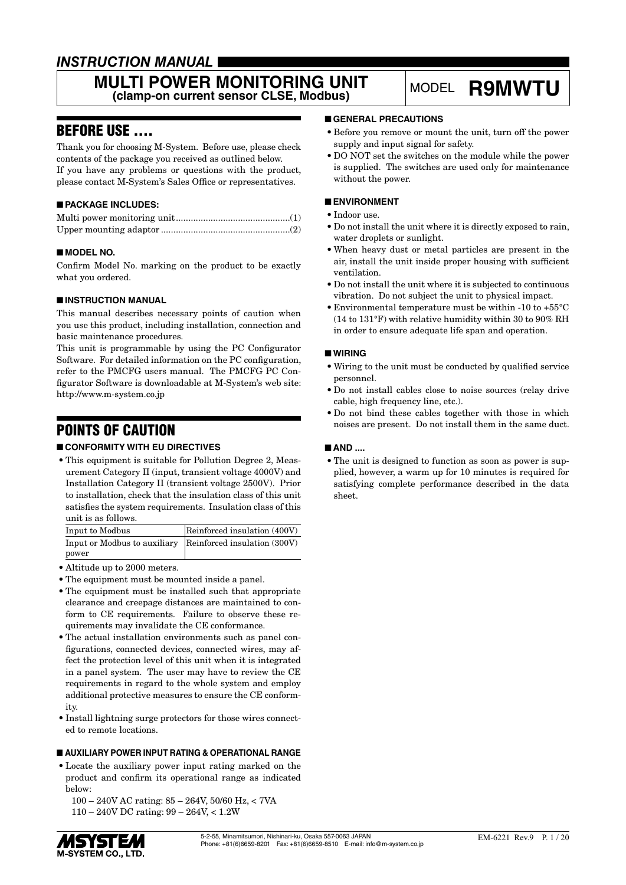### *INSTRUCTION MANUAL*

#### **MULTI POWER MONITORING UNIT** ULTI POWER MONITORING UNIT MODEL R9MWTU<br>(clamp-on current sensor CLSE, Modbus)

### BEFORE USE ....

Thank you for choosing M-System. Before use, please check contents of the package you received as outlined below. If you have any problems or questions with the product, please contact M-System's Sales Office or representatives.

#### ■ **PACKAGE INCLUDES:**

#### ■ **MODEL NO.**

Confirm Model No. marking on the product to be exactly what you ordered.

#### ■ **INSTRUCTION MANUAL**

This manual describes necessary points of caution when you use this product, including installation, connection and basic maintenance procedures.

This unit is programmable by using the PC Configurator Software. For detailed information on the PC configuration, refer to the PMCFG users manual. The PMCFG PC Configurator Software is downloadable at M-System's web site: http://www.m-system.co.jp

### POINTS OF CAUTION

#### ■ **CONFORMITY WITH EU DIRECTIVES**

• This equipment is suitable for Pollution Degree 2, Measurement Category II (input, transient voltage 4000V) and Installation Category II (transient voltage 2500V). Prior to installation, check that the insulation class of this unit satisfies the system requirements. Insulation class of this unit is as follows.

| Input to Modbus                                           | Reinforced insulation (400V) |
|-----------------------------------------------------------|------------------------------|
| Input or Modbus to auxiliary Reinforced insulation (300V) |                              |
| power                                                     |                              |

- Altitude up to 2000 meters.
- The equipment must be mounted inside a panel.
- The equipment must be installed such that appropriate clearance and creepage distances are maintained to conform to CE requirements. Failure to observe these requirements may invalidate the CE conformance.
- The actual installation environments such as panel configurations, connected devices, connected wires, may affect the protection level of this unit when it is integrated in a panel system. The user may have to review the CE requirements in regard to the whole system and employ additional protective measures to ensure the CE conformity.
- Install lightning surge protectors for those wires connected to remote locations.

#### ■ **AUXILIARY POWER INPUT RATING & OPERATIONAL RANGE**

• Locate the auxiliary power input rating marked on the product and confirm its operational range as indicated below:

 100 – 240V AC rating: 85 – 264V, 50/60 Hz, < 7VA 110 – 240V DC rating: 99 – 264V, < 1.2W

#### ■ **GENERAL PRECAUTIONS**

- Before you remove or mount the unit, turn off the power supply and input signal for safety.
- DO NOT set the switches on the module while the power is supplied. The switches are used only for maintenance without the power.

#### ■ **ENVIRONMENT**

- Indoor use.
- Do not install the unit where it is directly exposed to rain, water droplets or sunlight.
- When heavy dust or metal particles are present in the air, install the unit inside proper housing with sufficient ventilation.
- Do not install the unit where it is subjected to continuous vibration. Do not subject the unit to physical impact.
- Environmental temperature must be within -10 to +55°C (14 to 131°F) with relative humidity within 30 to 90% RH in order to ensure adequate life span and operation.

#### ■ **WIRING**

- Wiring to the unit must be conducted by qualified service personnel.
- Do not install cables close to noise sources (relay drive cable, high frequency line, etc.).
- Do not bind these cables together with those in which noises are present. Do not install them in the same duct.

#### ■ **AND ....**

• The unit is designed to function as soon as power is supplied, however, a warm up for 10 minutes is required for satisfying complete performance described in the data sheet.

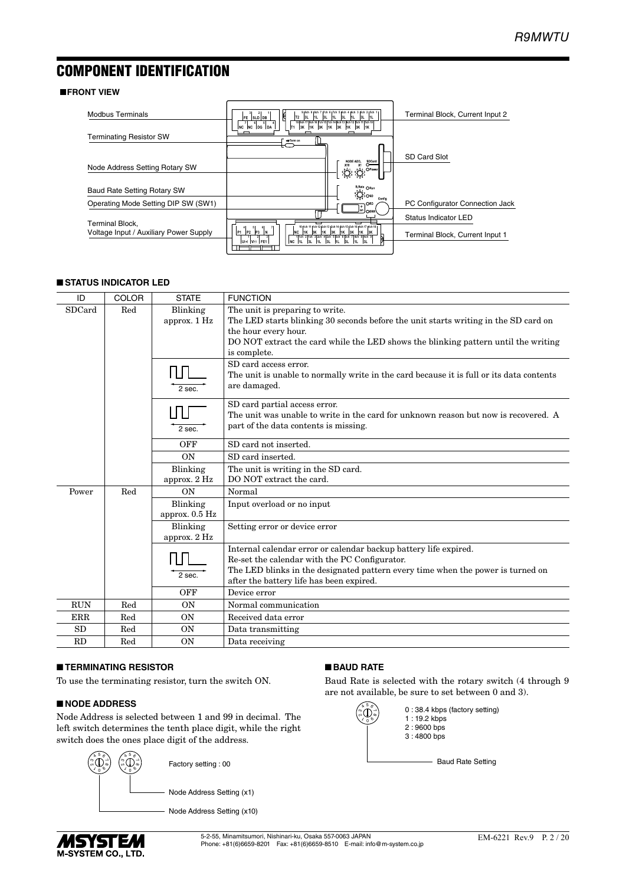### <span id="page-1-0"></span>COMPONENT IDENTIFICATION

#### **FRONT VIEW**

| <b>Modbus Terminals</b>                | 9  8ch 8  8ch 7  7ch 6  7ch 5  6ch 4  6ch 3  5ch 2  5ch 1<br>Ħ<br>3L<br>$1L$ 3L<br>H <sub>L</sub><br>FE SLD DB<br>T <sub>2</sub><br>3L<br>1L<br>3L                                                                                     | Terminal Block, Current Input 2 |
|----------------------------------------|----------------------------------------------------------------------------------------------------------------------------------------------------------------------------------------------------------------------------------------|---------------------------------|
| <b>Terminating Resistor SW</b>         | 18 8ch 17 8ch 16 7ch 15 7ch 14 6ch 13 8ch 12 5ch 11 5ch 10<br>NC NC DG DA<br>3K 1K 3K 1K 3K<br>1K 3K 1K<br>lT1<br>+Term on                                                                                                             |                                 |
| Node Address Setting Rotary SW         | SDCard<br>X10<br>x <sub>1</sub><br><b>BLI</b> , OPower,                                                                                                                                                                                | <b>SD Card Slot</b>             |
| Baud Rate Setting Rotary SW            | $\sum_{i=1}^{9} \sum_{i=1}^{9} \frac{1}{i}$ Osp                                                                                                                                                                                        |                                 |
| Operating Mode Setting DIP SW (SW1)    | Config                                                                                                                                                                                                                                 | PC Configurator Connection Jack |
| <b>Terminal Block.</b>                 | OFRI                                                                                                                                                                                                                                   | Status Indicator LED            |
| Voltage Input / Auxiliary Power Supply | 10 j1ch 11 j1ch 12 j2ch 13 j2ch 14 j3ch 15 j3ch 16 j4ch 17 j4ch 18 j<br> P2 <br>P3<br>IP <sub>1</sub><br>NC 1K 3K 1K 3K 1K 3K 1K 3K<br>11ch 21ch 32ch 42ch 53ch 63ch 74ch 84ch 9<br>INC 11L 13L 11L 13L 11L<br>3L<br>$ U(+) V(+) $ FE1 | Terminal Block, Current Input 1 |

#### ■ **STATUS INDICATOR LED**

| ID         | COLOR | <b>STATE</b>                 | <b>FUNCTION</b>                                                                                                                                                                                                                                      |
|------------|-------|------------------------------|------------------------------------------------------------------------------------------------------------------------------------------------------------------------------------------------------------------------------------------------------|
| SDCard     | Red   | Blinking<br>approx. 1 Hz     | The unit is preparing to write.<br>The LED starts blinking 30 seconds before the unit starts writing in the SD card on<br>the hour every hour.<br>DO NOT extract the card while the LED shows the blinking pattern until the writing<br>is complete. |
|            |       | ΠП<br>$2$ sec.               | SD card access error.<br>The unit is unable to normally write in the card because it is full or its data contents<br>are damaged.                                                                                                                    |
|            |       | 2 sec.                       | SD card partial access error.<br>The unit was unable to write in the card for unknown reason but now is recovered. A<br>part of the data contents is missing.                                                                                        |
|            |       | OFF                          | SD card not inserted.                                                                                                                                                                                                                                |
|            |       | <b>ON</b>                    | SD card inserted.                                                                                                                                                                                                                                    |
|            |       | Blinking<br>approx. 2 Hz     | The unit is writing in the SD card.<br>DO NOT extract the card.                                                                                                                                                                                      |
| Power      | Red   | ON                           | Normal                                                                                                                                                                                                                                               |
|            |       | Blinking<br>approx. $0.5$ Hz | Input overload or no input                                                                                                                                                                                                                           |
|            |       | Blinking<br>approx. 2 Hz     | Setting error or device error                                                                                                                                                                                                                        |
|            |       | 2 sec.                       | Internal calendar error or calendar backup battery life expired.<br>Re-set the calendar with the PC Configurator.<br>The LED blinks in the designated pattern every time when the power is turned on<br>after the battery life has been expired.     |
|            |       | OFF                          | Device error                                                                                                                                                                                                                                         |
| <b>RUN</b> | Red   | ON                           | Normal communication                                                                                                                                                                                                                                 |
| <b>ERR</b> | Red   | <b>ON</b>                    | Received data error                                                                                                                                                                                                                                  |
| <b>SD</b>  | Red   | <b>ON</b>                    | Data transmitting                                                                                                                                                                                                                                    |
| RD         | Red   | <b>ON</b>                    | Data receiving                                                                                                                                                                                                                                       |

#### ■ **TERMINATING RESISTOR**

To use the terminating resistor, turn the switch ON.

#### ■ **NODE ADDRESS**

Node Address is selected between 1 and 99 in decimal. The left switch determines the tenth place digit, while the right switch does the ones place digit of the address.



■ **BAUD RATE**

Baud Rate is selected with the rotary switch (4 through 9 are not available, be sure to set between 0 and 3).



0 : 38.4 kbps (factory setting) 1 : 19.2 kbps 2 : 9600 bps 3 : 4800 bps

- Baud Rate Setting

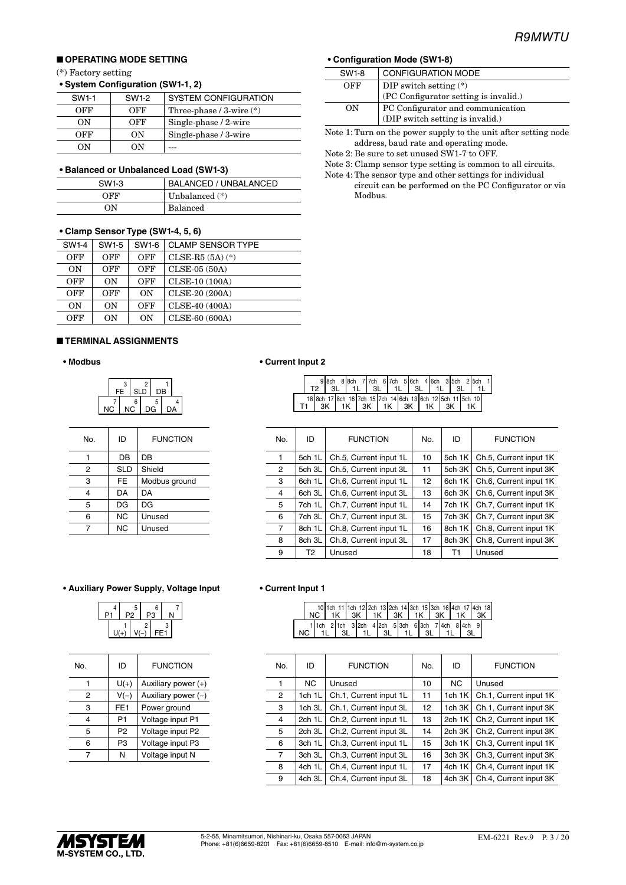#### ■ **OPERATING MODE SETTING**

#### (\*) Factory setting

| • System Configuration (SW1-1, 2) |  |
|-----------------------------------|--|
|-----------------------------------|--|

| SW <sub>1-1</sub> | SW1-2 | SYSTEM CONFIGURATION         |
|-------------------|-------|------------------------------|
| OFF               | OFF   | Three-phase $/3$ -wire $(*)$ |
| OΝ                | OFF   | Single-phase / 2-wire        |
| OFF               | OΝ    | Single-phase / 3-wire        |
| OΝ                | 'N    |                              |

#### **• Balanced or Unbalanced Load (SW1-3)**

| SW <sub>1-3</sub> | BALANCED / UNBALANCED |
|-------------------|-----------------------|
| OFF               | Unbalanced $(*)$      |
| OΝ                | <b>Balanced</b>       |

#### **• Clamp Sensor Type (SW1-4, 5, 6)**

| SW1-4 | SW1-5 | SW1-6 | <b>CLAMP SENSOR TYPE</b> |
|-------|-------|-------|--------------------------|
| OFF   | OFF   | OFF   | $CLSE-R5 (5A) (*)$       |
| OΝ    | OFF   | OFF   | CLSE-05 (50A)            |
| OFF   | ON    | OFF   | CLSE-10 (100A)           |
| OFF   | OFF   | ON    | CLSE-20 (200A)           |
| ON    | ON    | OFF   | CLSE-40 (400A)           |
| OFF   | 0N    | OΝ    | CLSE-60 (600A)           |

#### ■ **TERMINAL ASSIGNMENTS**

#### **• Modbus**

|  | з<br>FE | SLD      |    | DB |    |  |
|--|---------|----------|----|----|----|--|
|  |         | հ<br>JC. | DG | 5  | nΔ |  |

| No. | ID         | <b>FUNCTION</b> |
|-----|------------|-----------------|
|     | DB         | DB              |
| 2   | <b>SLD</b> | Shield          |
| 3   | FE         | Modbus ground   |
| 4   | DA         | DA              |
| 5   | DG         | DG              |
| 6   | ΝC         | Unused          |
| 7   | <b>NC</b>  | Unused          |

#### **• Auxiliary Power Supply, Voltage Input • Current Input 1**

| ┍ | 4 | 5 |   | 6<br>DЗ |         |  |
|---|---|---|---|---------|---------|--|
|   |   |   | 2 |         | 2<br>E, |  |

| No. | ID              | <b>FUNCTION</b>       |
|-----|-----------------|-----------------------|
|     | $U(+)$          | Auxiliary power (+)   |
| 2   | $V(-)$          | Auxiliary power $(-)$ |
| 3   | FE <sub>1</sub> | Power ground          |
| 4   | P1              | Voltage input P1      |
| 5   | P <sub>2</sub>  | Voltage input P2      |
| 6   | P <sub>3</sub>  | Voltage input P3      |
|     | N               | Voltage input N       |

#### **• Configuration Mode (SW1-8)**

| SW1-8 | <b>CONFIGURATION MODE</b>             |
|-------|---------------------------------------|
| OFF   | DIP switch setting $(*)$              |
|       | (PC Configurator setting is invalid.) |
| ON    | PC Configurator and communication     |
|       | (DIP switch setting is invalid.)      |
|       |                                       |

Note 1: Turn on the power supply to the unit after setting node address, baud rate and operating mode.

Note 2: Be sure to set unused SW1-7 to OFF.

Note 3: Clamp sensor type setting is common to all circuits.

Note 4: The sensor type and other settings for individual circuit can be performed on the PC Configurator or via Modbus.

#### **• Current Input 2**

|  |  |     |  |                                  |  |  |  |  |      | 98ch 88ch 77ch 67ch 56ch 46ch 35ch 25ch 1                  |  |
|--|--|-----|--|----------------------------------|--|--|--|--|------|------------------------------------------------------------|--|
|  |  | -3L |  | I 1L I 3L I 1L I 3L I            |  |  |  |  | 3L . |                                                            |  |
|  |  |     |  |                                  |  |  |  |  |      | 18 8ch 17 8ch 16 7ch 15 7ch 14 6ch 13 6ch 12 5ch 11 5ch 10 |  |
|  |  |     |  | 3K   1K   3K   1K   3K   1K   3K |  |  |  |  |      |                                                            |  |

| No. | ID     | <b>FUNCTION</b>        | No.             | ID     | <b>FUNCTION</b>        |
|-----|--------|------------------------|-----------------|--------|------------------------|
| 1   | 5ch 1L | Ch.5, Current input 1L | 10              | 5ch 1K | Ch.5, Current input 1K |
| 2   | 5ch 3L | Ch.5, Current input 3L | 11              | 5ch 3K | Ch.5, Current input 3K |
| 3   | 6ch 1L | Ch.6, Current input 1L | 12 <sup>2</sup> | 6ch 1K | Ch.6, Current input 1K |
| 4   | 6ch 3L | Ch.6, Current input 3L | 13              | 6ch 3K | Ch.6, Current input 3K |
| 5   | 7ch 1L | Ch.7, Current input 1L | 14              | 7ch 1K | Ch.7, Current input 1K |
| 6   | 7ch 3L | Ch.7, Current input 3L | 15              | 7ch 3K | Ch.7, Current input 3K |
| 7   | 8ch 1L | Ch.8, Current input 1L | 16              | 8ch 1K | Ch.8, Current input 1K |
| 8   | 8ch 3L | Ch.8, Current input 3L | 17              | 8ch 3K | Ch.8, Current input 3K |
| 9   | T2     | Unused                 | 18              | T1     | Unused                 |

|  | $NC$   1K   3K   1K   3K   1K   3K   1K |      |      |     |  |  |  |  | 10 1ch 11 1ch 12 2ch 13 2ch 14 3ch 15 3ch 16 4ch 17 4ch 18 |  |
|--|-----------------------------------------|------|------|-----|--|--|--|--|------------------------------------------------------------|--|
|  |                                         | - 3L | 1 1L | -3L |  |  |  |  | 1 1ch 2 1ch 3 2ch 4 2ch 5 3ch 6 3ch 7 4ch 8 4ch 9          |  |

| No.            | ID     | <b>FUNCTION</b>        | No. | ID             | <b>FUNCTION</b>        |
|----------------|--------|------------------------|-----|----------------|------------------------|
|                | NC.    | Unused                 | 10  | N <sub>C</sub> | Unused                 |
| $\overline{2}$ | 1ch 1L | Ch.1, Current input 1L | 11  | 1 $ch$ 1 $K$   | Ch.1, Current input 1K |
| 3              | 1ch 3L | Ch.1, Current input 3L | 12  | 1ch 3K         | Ch.1, Current input 3K |
| 4              | 2ch 1L | Ch.2, Current input 1L | 13  | 2ch 1K         | Ch.2, Current input 1K |
| 5              | 2ch 3L | Ch.2, Current input 3L | 14  | 2ch 3K         | Ch.2, Current input 3K |
| 6              | 3ch 1L | Ch.3, Current input 1L | 15  | 3ch 1K         | Ch.3, Current input 1K |
| 7              | 3ch 3L | Ch.3, Current input 3L | 16  | 3ch 3K         | Ch.3, Current input 3K |
| 8              | 4ch 1L | Ch.4, Current input 1L | 17  | 4ch 1K         | Ch.4, Current input 1K |
| 9              | 4ch 3L | Ch.4, Current input 3L | 18  | 4ch 3K         | Ch.4, Current input 3K |

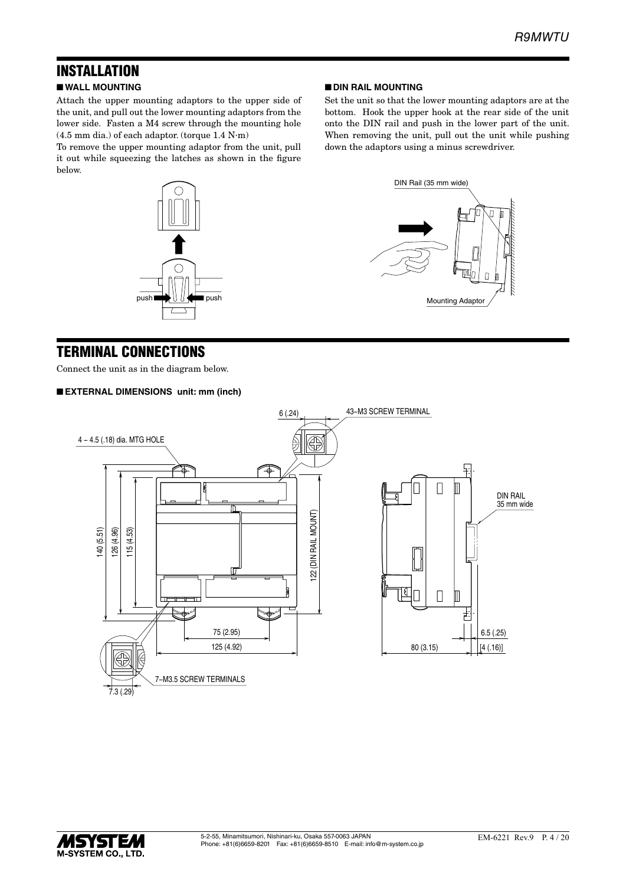## **INSTALLATION**

#### ■ **WALL MOUNTING**

Attach the upper mounting adaptors to the upper side of the unit, and pull out the lower mounting adaptors from the lower side. Fasten a M4 screw through the mounting hole (4.5 mm dia.) of each adaptor. (torque 1.4 N∙m)

To remove the upper mounting adaptor from the unit, pull it out while squeezing the latches as shown in the figure below.



#### ■ **DIN RAIL MOUNTING**

Set the unit so that the lower mounting adaptors are at the bottom. Hook the upper hook at the rear side of the unit onto the DIN rail and push in the lower part of the unit. When removing the unit, pull out the unit while pushing down the adaptors using a minus screwdriver.



### TERMINAL CONNECTIONS

Connect the unit as in the diagram below.

#### ■ **EXTERNAL DIMENSIONS unit: mm (inch)**



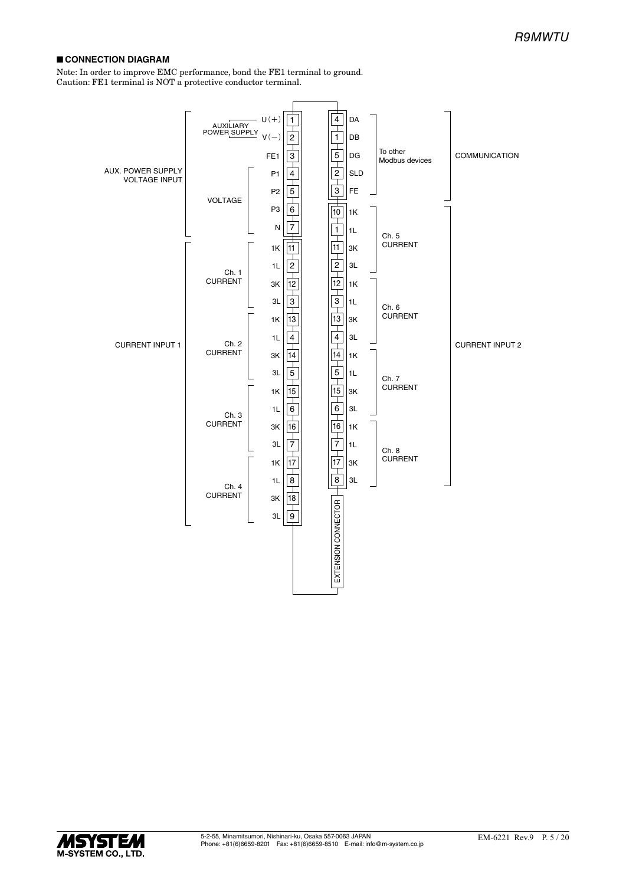#### ■ **CONNECTION DIAGRAM**

Note: In order to improve EMC performance, bond the FE1 terminal to ground. Caution: FE1 terminal is NOT a protective conductor terminal.



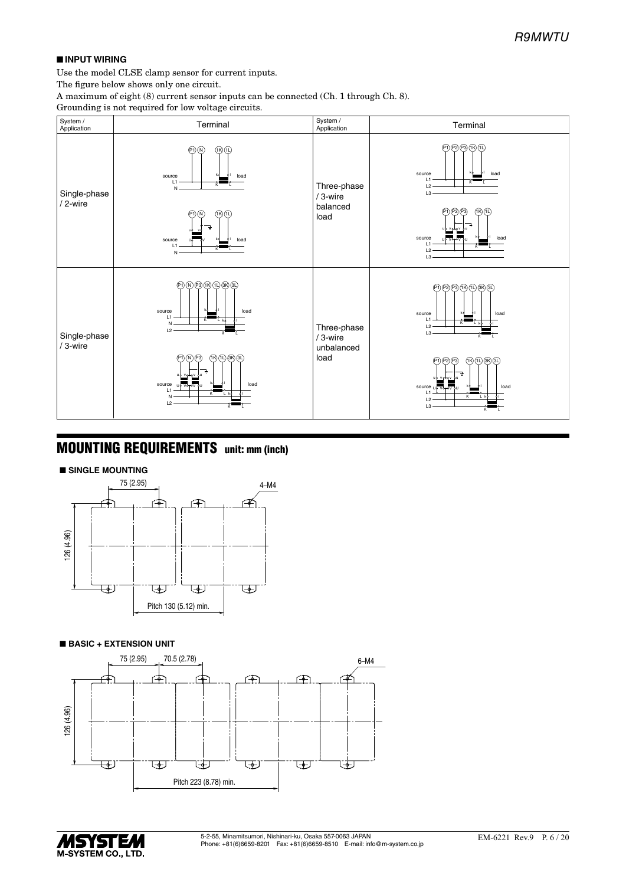#### ■ **INPUT WIRING**

Use the model CLSE clamp sensor for current inputs.

The figure below shows only one circuit.

A maximum of eight (8) current sensor inputs can be connected (Ch. 1 through Ch. 8).

Grounding is not required for low voltage circuits.



### MOUNTING REQUIREMENTS unit: mm (inch)







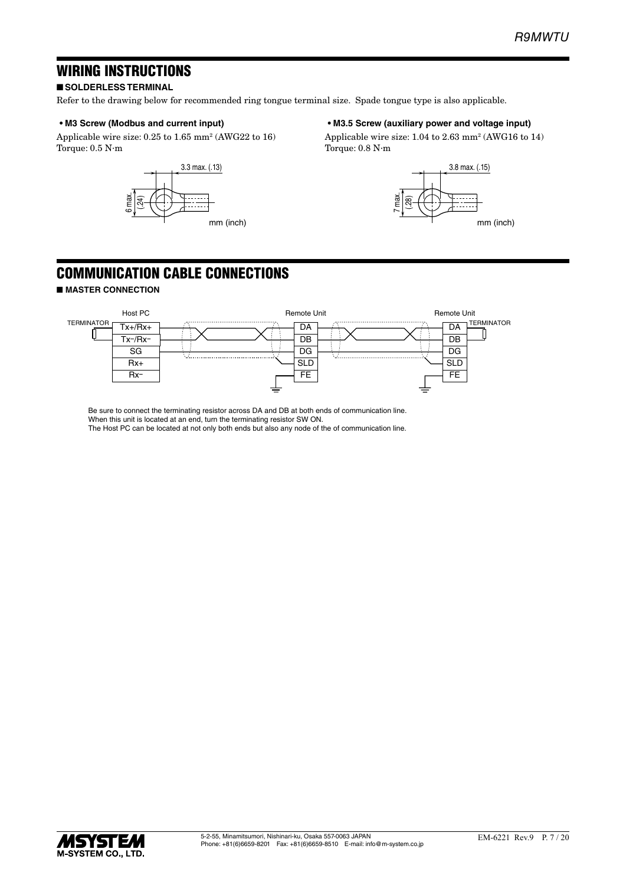### WIRING INSTRUCTIONS

#### ■ **SOLDERLESS TERMINAL**

Refer to the drawing below for recommended ring tongue terminal size. Spade tongue type is also applicable.

#### **• M3 Screw (Modbus and current input)**

Applicable wire size: 0.25 to 1.65 mm2 (AWG22 to 16) Torque: 0.5 N∙m



#### **• M3.5 Screw (auxiliary power and voltage input)**

Applicable wire size: 1.04 to 2.63 mm2 (AWG16 to 14) Torque: 0.8 N∙m



## COMMUNICATION CABLE CONNECTIONS

#### ■ **MASTER CONNECTION**



Be sure to connect the terminating resistor across DA and DB at both ends of communication line. When this unit is located at an end, turn the terminating resistor SW ON. The Host PC can be located at not only both ends but also any node of the of communication line.

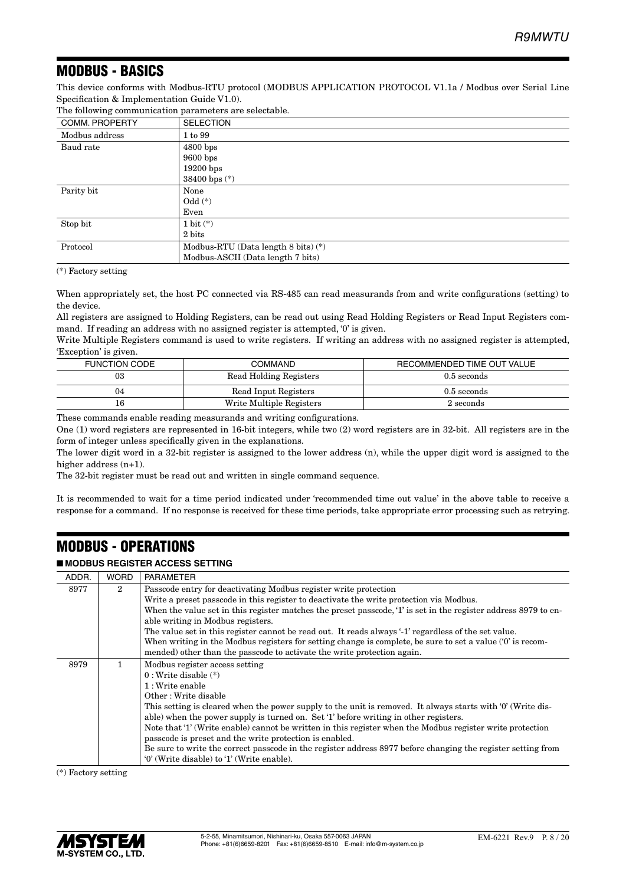### MODBUS - BASICS

This device conforms with Modbus-RTU protocol (MODBUS APPLICATION PROTOCOL V1.1a / Modbus over Serial Line Specification & Implementation Guide V1.0).

| COMM. PROPERTY | <b>SELECTION</b>                               |
|----------------|------------------------------------------------|
| Modbus address | 1 to 99                                        |
| Baud rate      | $4800$ bps                                     |
|                | $9600$ bps                                     |
|                | $19200$ bps                                    |
|                | 38400 bps $(*)$                                |
| Parity bit     | None                                           |
|                | $Odd (*)$                                      |
|                | Even                                           |
| Stop bit       | $1 \text{ bit } (*)$                           |
|                | 2 bits                                         |
| Protocol       | Modbus-RTU (Data length $8 \text{ bits}$ ) (*) |
|                | Modbus-ASCII (Data length 7 bits)              |

The following communication parameters are selectable.

(\*) Factory setting

When appropriately set, the host PC connected via RS-485 can read measurands from and write configurations (setting) to the device.

All registers are assigned to Holding Registers, can be read out using Read Holding Registers or Read Input Registers command. If reading an address with no assigned register is attempted, '0' is given.

Write Multiple Registers command is used to write registers. If writing an address with no assigned register is attempted, 'Exception' is given.

| FUNCTION CODE | <b>COMMAND</b>           | RECOMMENDED TIME OUT VALUE |
|---------------|--------------------------|----------------------------|
| 03            | Read Holding Registers   | $0.5$ seconds              |
| 04            | Read Input Registers     | $0.5$ seconds              |
| 16            | Write Multiple Registers | 2 seconds                  |

These commands enable reading measurands and writing configurations.

One (1) word registers are represented in 16-bit integers, while two (2) word registers are in 32-bit. All registers are in the form of integer unless specifically given in the explanations.

The lower digit word in a 32-bit register is assigned to the lower address (n), while the upper digit word is assigned to the higher address  $(n+1)$ .

The 32-bit register must be read out and written in single command sequence.

It is recommended to wait for a time period indicated under 'recommended time out value' in the above table to receive a response for a command. If no response is received for these time periods, take appropriate error processing such as retrying.

### MODBUS - OPERATIONS

#### ■ **MODBUS REGISTER ACCESS SETTING**

| ADDR. | <b>WORD</b>    | <b>PARAMETER</b>                                                                                                |
|-------|----------------|-----------------------------------------------------------------------------------------------------------------|
| 8977  | $\overline{2}$ | Passcode entry for deactivating Modbus register write protection                                                |
|       |                | Write a preset passcode in this register to deactivate the write protection via Modbus.                         |
|       |                | When the value set in this register matches the preset passcode, '1' is set in the register address 8979 to en- |
|       |                | able writing in Modbus registers.                                                                               |
|       |                | The value set in this register cannot be read out. It reads always '-1' regardless of the set value.            |
|       |                | When writing in the Modbus registers for setting change is complete, be sure to set a value ('0' is recom-      |
|       |                | mended) other than the passcode to activate the write protection again.                                         |
| 8979  | 1.             | Modbus register access setting                                                                                  |
|       |                | $0: Write$ disable $(*)$                                                                                        |
|       |                | 1: Write enable                                                                                                 |
|       |                | Other: Write disable                                                                                            |
|       |                | This setting is cleared when the power supply to the unit is removed. It always starts with '0' (Write dis-     |
|       |                | able) when the power supply is turned on. Set '1' before writing in other registers.                            |
|       |                | Note that '1' (Write enable) cannot be written in this register when the Modbus register write protection       |
|       |                | passcode is preset and the write protection is enabled.                                                         |
|       |                | Be sure to write the correct passcode in the register address 8977 before changing the register setting from    |
|       |                | '0' (Write disable) to '1' (Write enable).                                                                      |

(\*) Factory setting

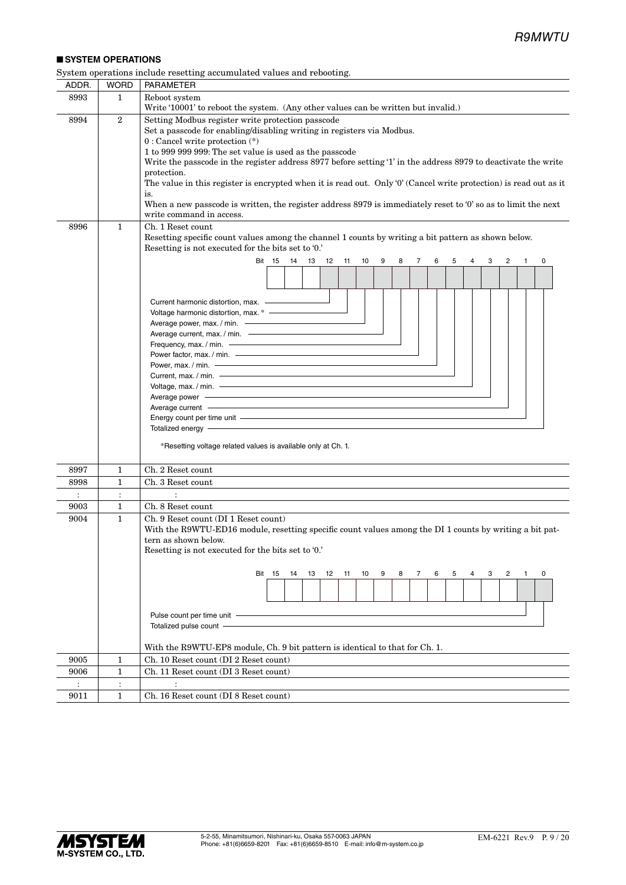#### ■ **SYSTEM OPERATIONS**

| System operations include resetting accumulated values and rebooting. |
|-----------------------------------------------------------------------|
|-----------------------------------------------------------------------|

| ADDR.          | <b>WORD</b>    | <b>PARAMETER</b>                                                                                                                                                                                                                                                                                                                                                                                                                                                                                                                                                                                                                                  |
|----------------|----------------|---------------------------------------------------------------------------------------------------------------------------------------------------------------------------------------------------------------------------------------------------------------------------------------------------------------------------------------------------------------------------------------------------------------------------------------------------------------------------------------------------------------------------------------------------------------------------------------------------------------------------------------------------|
| 8993           | $\mathbf{1}$   | Reboot system<br>Write '10001' to reboot the system. (Any other values can be written but invalid.)                                                                                                                                                                                                                                                                                                                                                                                                                                                                                                                                               |
| 8994           | $\mathbf{2}$   | Setting Modbus register write protection passcode<br>Set a passcode for enabling/disabling writing in registers via Modbus.<br>$0:$ Cancel write protection $(*)$<br>1 to 999 999 999: The set value is used as the passcode<br>Write the passcode in the register address 8977 before setting '1' in the address 8979 to deactivate the write<br>protection.<br>The value in this register is encrypted when it is read out. Only '0' (Cancel write protection) is read out as it<br>is.<br>When a new passcode is written, the register address 8979 is immediately reset to '0' so as to limit the next<br>write command in access.            |
| 8996           | $\mathbf{1}$   | Ch. 1 Reset count<br>Resetting specific count values among the channel 1 counts by writing a bit pattern as shown below.<br>Resetting is not executed for the bits set to '0.'                                                                                                                                                                                                                                                                                                                                                                                                                                                                    |
|                |                | Bit 15<br>14 13 12<br>$-11$<br>10<br>9<br>$\overline{7}$<br>2<br>0<br>8<br>6<br>5<br>4<br>3<br>$\mathbf{1}$                                                                                                                                                                                                                                                                                                                                                                                                                                                                                                                                       |
|                |                |                                                                                                                                                                                                                                                                                                                                                                                                                                                                                                                                                                                                                                                   |
|                |                | Current harmonic distortion, max. -<br>Voltage harmonic distortion, max. * -<br>Current, max. / min. -<br>Average current - Average current - Average current and a state of the state of the state of the state of the<br>Energy count per time unit - The Commission of the Commission of the Commission of the Commission of the Commission<br>Totalized energy - Totalized energy - Total and the state of the state of the state of the state of the state of the state of the state of the state of the state of the state of the state of the state of the state of the s<br>*Resetting voltage related values is available only at Ch. 1. |
| 8997           | 1              | Ch. 2 Reset count                                                                                                                                                                                                                                                                                                                                                                                                                                                                                                                                                                                                                                 |
| 8998           | 1              | Ch. 3 Reset count                                                                                                                                                                                                                                                                                                                                                                                                                                                                                                                                                                                                                                 |
| $\ddot{\cdot}$ | $\ddot{\cdot}$ | $\ddot{\cdot}$                                                                                                                                                                                                                                                                                                                                                                                                                                                                                                                                                                                                                                    |
| 9003           | $\mathbf{1}$   | Ch. 8 Reset count                                                                                                                                                                                                                                                                                                                                                                                                                                                                                                                                                                                                                                 |
| 9004           | $\mathbf{1}$   | Ch. 9 Reset count (DI 1 Reset count)<br>With the R9WTU-ED16 module, resetting specific count values among the DI 1 counts by writing a bit pat-<br>tern as shown below.<br>Resetting is not executed for the bits set to '0.'<br><b>Bit 15</b><br>12<br>10<br>9<br>8<br>7<br>6<br>5<br>3<br>0<br>14<br>13<br>11<br>4<br>2<br>$\mathbf{1}$<br>Pulse count per time unit -<br>Totalized pulse count -<br>With the R9WTU-EP8 module, Ch. 9 bit pattern is identical to that for Ch. 1.                                                                                                                                                               |
| 9005           | 1              | Ch. 10 Reset count (DI 2 Reset count)                                                                                                                                                                                                                                                                                                                                                                                                                                                                                                                                                                                                             |
| 9006           | 1              | Ch. 11 Reset count (DI 3 Reset count)                                                                                                                                                                                                                                                                                                                                                                                                                                                                                                                                                                                                             |
| $\ddot{\cdot}$ | $\ddot{\cdot}$ | $\ddot{\cdot}$                                                                                                                                                                                                                                                                                                                                                                                                                                                                                                                                                                                                                                    |
| 9011           | $\mathbf{1}$   | Ch. 16 Reset count (DI 8 Reset count)                                                                                                                                                                                                                                                                                                                                                                                                                                                                                                                                                                                                             |

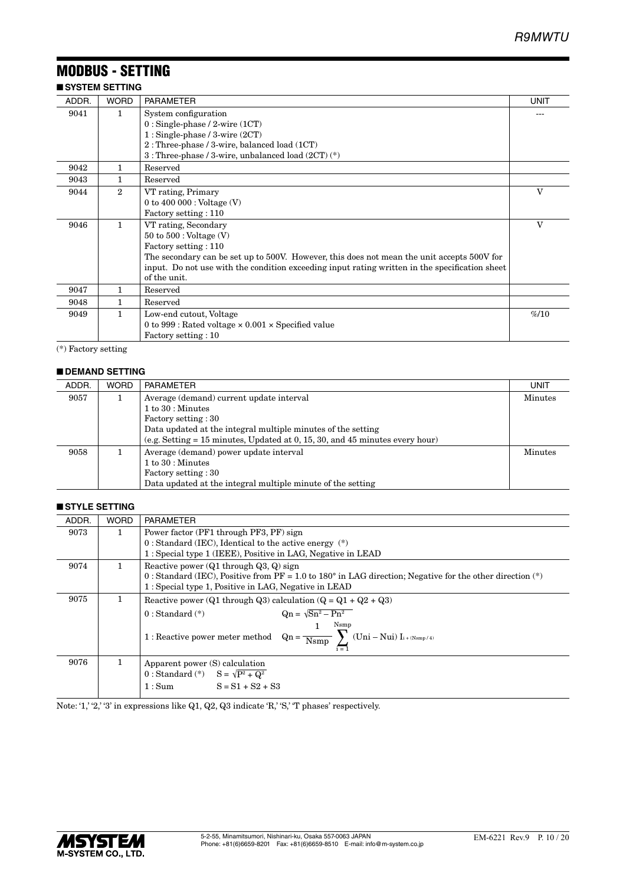## MODBUS - SETTING

#### ■ **SYSTEM SETTING** ADDR. WORD PARAMETER UNIT 9041 1 System configuration 0 : Single-phase / 2-wire (1CT) 1 : Single-phase / 3-wire (2CT) 2 : Three-phase / 3-wire, balanced load (1CT) 3 : Three-phase / 3-wire, unbalanced load (2CT) (\*) --- 9042 1 Reserved 9043 1 Reserved 9044 2 VT rating, Primary  $0$  to  $400\,\, \rm{000}$  : Voltage  $\rm (V)$ Factory setting : 110  $\overline{\mathbf{v}}$ 9046 1 VT rating, Secondary 50 to 500 : Voltage (V) Factory setting : 110 The secondary can be set up to 500V. However, this does not mean the unit accepts 500V for input. Do not use with the condition exceeding input rating written in the specification sheet of the unit.  $\overline{\overline{\mathbf{v}}}$ 9047 1 Reserved 9048 1 Reserved 9049 1 Low-end cutout, Voltage 0 to 999 : Rated voltage × 0.001 × Specified value Factory setting : 10  $%10$

(\*) Factory setting

#### ■ **DEMAND SETTING**

| ADDR. | <b>WORD</b> | <b>PARAMETER</b>                                                               | UNIT           |
|-------|-------------|--------------------------------------------------------------------------------|----------------|
| 9057  |             | Average (demand) current update interval                                       | <b>Minutes</b> |
|       |             | $1 to 30$ : Minutes                                                            |                |
|       |             | Factory setting : 30                                                           |                |
|       |             | Data updated at the integral multiple minutes of the setting                   |                |
|       |             | (e.g. Setting $= 15$ minutes, Updated at 0, 15, 30, and 45 minutes every hour) |                |
| 9058  |             | Average (demand) power update interval                                         | <b>Minutes</b> |
|       |             | $1 to 30$ : Minutes                                                            |                |
|       |             | Factory setting : 30                                                           |                |
|       |             | Data updated at the integral multiple minute of the setting                    |                |

#### ■ **STYLE SETTING**

| ADDR. | <b>WORD</b> | <b>PARAMETER</b>                                                                                                                                                                                                                 |
|-------|-------------|----------------------------------------------------------------------------------------------------------------------------------------------------------------------------------------------------------------------------------|
| 9073  | 1           | Power factor (PF1 through PF3, PF) sign                                                                                                                                                                                          |
|       |             | $0: Standard$ (IEC), Identical to the active energy $(*)$                                                                                                                                                                        |
|       |             | 1: Special type 1 (IEEE), Positive in LAG, Negative in LEAD                                                                                                                                                                      |
| 9074  | 1           | Reactive power $(Q1 \text{ through } Q3, Q)$ sign<br>0 : Standard (IEC), Positive from PF = 1.0 to 180 $^{\circ}$ in LAG direction; Negative for the other direction (*)<br>1: Special type 1, Positive in LAG, Negative in LEAD |
| 9075  | 1           | Reactive power (Q1 through Q3) calculation (Q = $Q_1 + Q_2 + Q_3$ )                                                                                                                                                              |
|       |             | $\text{On} = \sqrt{\text{Sn}^2 - \text{Pn}^2}$<br>$0: Standard (*)$<br>Nsmp<br>$1: Reactive\ power\ meter\ method \quad Qn = \frac{}{N s m p} \ \sum\ (Uni - Nui)\ I_{i + (N s m p/4)}$                                          |
| 9076  | 1.          | Apparent power (S) calculation<br>0 : Standard (*) $S = \sqrt{P^2 + Q^2}$<br>$S = S1 + S2 + S3$<br>1:Sum                                                                                                                         |

Note: '1,' '2,' '3' in expressions like Q1, Q2, Q3 indicate 'R,' 'S,' 'T phases' respectively.

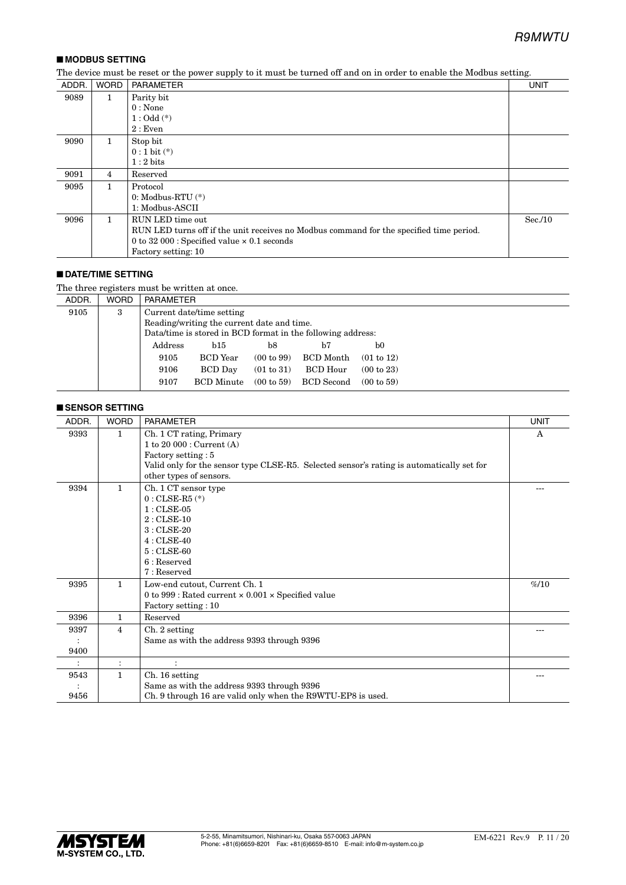### ■ **MODBUS SETTING**

The device must be reset or the power supply to it must be turned off and on in order to enable the Modbus setting.

| ADDR. | <b>WORD</b>    | <b>PARAMETER</b>                                                                        | <b>UNIT</b> |
|-------|----------------|-----------------------------------------------------------------------------------------|-------------|
| 9089  | 1              | Parity bit                                                                              |             |
|       |                | $0: \text{None}$                                                                        |             |
|       |                | $1:Odd(*)$                                                                              |             |
|       |                | 2:Even                                                                                  |             |
| 9090  | $\mathbf{1}$   | Stop bit                                                                                |             |
|       |                | $0:1$ bit $(*)$                                                                         |             |
|       |                | $1:2 \text{ bits}$                                                                      |             |
| 9091  | $\overline{4}$ | Reserved                                                                                |             |
| 9095  |                | Protocol                                                                                |             |
|       |                | 0: Modbus-RTU $(*)$                                                                     |             |
|       |                | 1: Modbus-ASCII                                                                         |             |
| 9096  | 1.             | RUN LED time out                                                                        | Sec.10      |
|       |                | RUN LED turns off if the unit receives no Modbus command for the specified time period. |             |
|       |                | 0 to 32 000 : Specified value $\times$ 0.1 seconds                                      |             |
|       |                | Factory setting: 10                                                                     |             |

#### ■ **DATE/TIME SETTING**

The three registers must be written at once.

| ADDR. | <b>WORD</b> | PARAMETER |                                                             |                       |                   |            |
|-------|-------------|-----------|-------------------------------------------------------------|-----------------------|-------------------|------------|
| 9105  | 3           |           | Current date/time setting                                   |                       |                   |            |
|       |             |           | Reading/writing the current date and time.                  |                       |                   |            |
|       |             |           | Data/time is stored in BCD format in the following address: |                       |                   |            |
|       |             | Address   | b15                                                         | b8                    | b7                | b0         |
|       |             | 9105      | <b>BCD</b> Year                                             | (00 to 99)            | BCD Month         | (01 to 12) |
|       |             | 9106      | <b>BCD</b> Day                                              | (01 to 31)            | <b>BCD</b> Hour   | (00 to 23) |
|       |             | 9107      | <b>BCD</b> Minute                                           | $(00 \text{ to } 59)$ | <b>BCD</b> Second | (00 to 59) |
|       |             |           |                                                             |                       |                   |            |

#### ■ **SENSOR SETTING**

| ADDR. | <b>WORD</b>    | <b>PARAMETER</b>                                                                          | <b>UNIT</b>  |
|-------|----------------|-------------------------------------------------------------------------------------------|--------------|
| 9393  | $\mathbf{1}$   | Ch. 1 CT rating, Primary                                                                  | $\mathsf{A}$ |
|       |                | 1 to 20 000 : $Current (A)$                                                               |              |
|       |                | Factory setting: 5                                                                        |              |
|       |                | Valid only for the sensor type CLSE-R5. Selected sensor's rating is automatically set for |              |
|       |                | other types of sensors.                                                                   |              |
| 9394  | $\mathbf{1}$   | Ch. 1 CT sensor type                                                                      |              |
|       |                | $0:$ CLSE-R5 $(*)$                                                                        |              |
|       |                | $1:CISE-05$                                                                               |              |
|       |                | $2:$ CLSE-10                                                                              |              |
|       |                | $3:CLSE-20$                                                                               |              |
|       |                | $4:CISE-40$                                                                               |              |
|       |                | $5:CISE-60$                                                                               |              |
|       |                | $6:$ Reserved                                                                             |              |
|       |                | 7: Reserved                                                                               |              |
| 9395  | $\mathbf{1}$   | Low-end cutout, Current Ch. 1                                                             | %10          |
|       |                | 0 to 999 : Rated current $\times$ 0.001 $\times$ Specified value                          |              |
|       |                | Factory setting: 10                                                                       |              |
| 9396  | 1              | Reserved                                                                                  |              |
| 9397  | $\overline{4}$ | Ch. 2 setting                                                                             |              |
|       |                | Same as with the address 9393 through 9396                                                |              |
| 9400  |                |                                                                                           |              |
|       | $\ddot{\cdot}$ |                                                                                           |              |
| 9543  | $\mathbf{1}$   | Ch. 16 setting                                                                            |              |
|       |                | Same as with the address 9393 through 9396                                                |              |
| 9456  |                | Ch. 9 through 16 are valid only when the R9WTU-EP8 is used.                               |              |

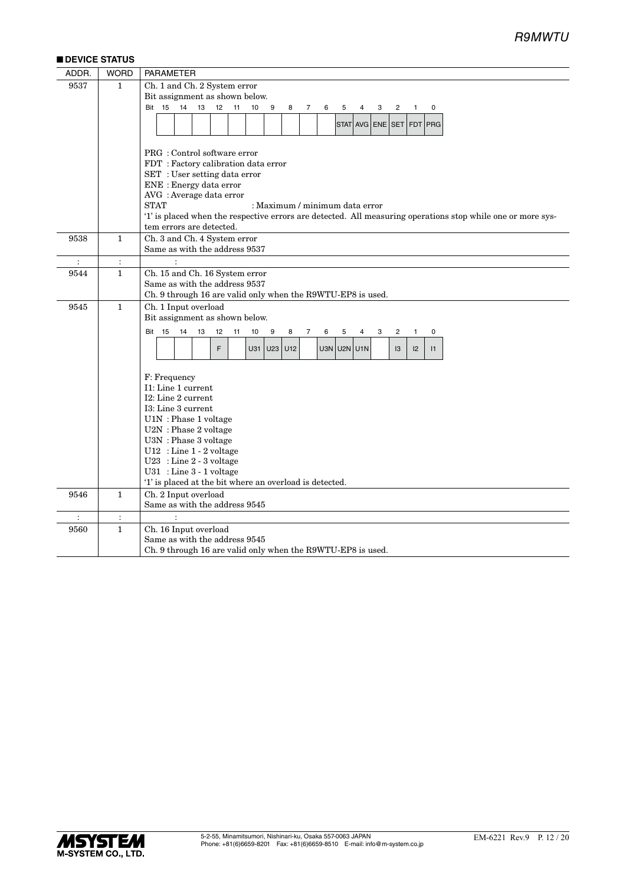#### ■ **DEVICE STATUS**

| ADDR.          | <b>WORD</b>    | <b>PARAMETER</b>                                                                                            |
|----------------|----------------|-------------------------------------------------------------------------------------------------------------|
| 9537           | $\mathbf{1}$   | Ch. 1 and Ch. 2 System error                                                                                |
|                |                | Bit assignment as shown below.                                                                              |
|                |                | <b>Bit 15</b><br>14<br>12<br>13<br>11<br>10<br>9<br>8<br>7<br>6<br>5<br>4<br>3<br>2<br>$\mathbf{1}$<br>0    |
|                |                | STAT AVG ENE SET FDT PRG                                                                                    |
|                |                |                                                                                                             |
|                |                |                                                                                                             |
|                |                | PRG: Control software error                                                                                 |
|                |                | FDT: Factory calibration data error                                                                         |
|                |                | SET : User setting data error                                                                               |
|                |                | ENE : Energy data error<br>AVG : Average data error                                                         |
|                |                | <b>STAT</b><br>: Maximum / minimum data error                                                               |
|                |                | '1' is placed when the respective errors are detected. All measuring operations stop while one or more sys- |
|                |                | tem errors are detected.                                                                                    |
| 9538           | $\mathbf{1}$   | Ch. 3 and Ch. 4 System error                                                                                |
|                |                | Same as with the address 9537                                                                               |
| $\ddot{\cdot}$ | $\ddot{\cdot}$ |                                                                                                             |
| 9544           | $\mathbf{1}$   | Ch. 15 and Ch. 16 System error                                                                              |
|                |                | Same as with the address 9537                                                                               |
|                |                | Ch. 9 through 16 are valid only when the R9WTU-EP8 is used.                                                 |
| 9545           | $\mathbf{1}$   | Ch. 1 Input overload                                                                                        |
|                |                | Bit assignment as shown below.                                                                              |
|                |                | <b>Bit 15</b><br>14<br>13<br>12<br>11<br>10<br>9<br>8<br>7<br>6<br>5<br>0<br>4<br>3<br>2<br>1               |
|                |                | F<br>U31<br>$U23$ $U12$<br>U3N U2N U1N<br>$ 2\rangle$<br> 3 <br>$\vert$ 11                                  |
|                |                |                                                                                                             |
|                |                |                                                                                                             |
|                |                | F: Frequency<br>I1: Line 1 current                                                                          |
|                |                | I2: Line 2 current                                                                                          |
|                |                | I3: Line 3 current                                                                                          |
|                |                | U1N: Phase 1 voltage                                                                                        |
|                |                | U2N: Phase 2 voltage                                                                                        |
|                |                | U3N: Phase 3 voltage                                                                                        |
|                |                | $U12$ : Line 1 - 2 voltage                                                                                  |
|                |                | $U23$ : Line 2 - 3 voltage                                                                                  |
|                |                | $U31$ : Line $3 - 1$ voltage                                                                                |
|                | $\mathbf{1}$   | '1' is placed at the bit where an overload is detected.<br>Ch. 2 Input overload                             |
| 9546           |                | Same as with the address 9545                                                                               |
| $\ddot{\cdot}$ | $\ddot{\cdot}$ |                                                                                                             |
| 9560           | $\mathbf{1}$   | Ch. 16 Input overload                                                                                       |
|                |                | Same as with the address 9545                                                                               |
|                |                | Ch. 9 through 16 are valid only when the R9WTU-EP8 is used.                                                 |

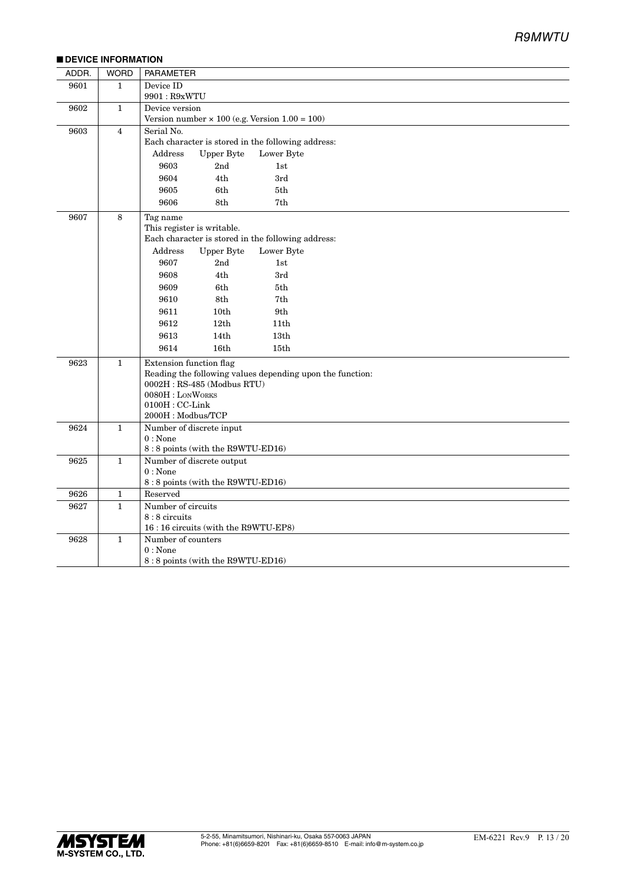### *R9MWTU*

#### ■ **DEVICE INFORMATION**

| ADDR. | <b>WORD</b>    | <b>PARAMETER</b>                                              |
|-------|----------------|---------------------------------------------------------------|
| 9601  | $\mathbf{1}$   | Device ID                                                     |
|       |                | 9901: R9xWTU                                                  |
| 9602  | $\mathbf{1}$   | Device version                                                |
|       |                | Version number $\times$ 100 (e.g. Version 1.00 = 100)         |
| 9603  | $\overline{4}$ | Serial No.                                                    |
|       |                | Each character is stored in the following address:            |
|       |                | Address<br><b>Upper Byte</b><br>Lower Byte                    |
|       |                | 9603<br>2nd<br>1st                                            |
|       |                | 9604<br>4th<br>3rd                                            |
|       |                | 9605<br>6th<br>5th                                            |
|       |                | 9606<br>8th<br>7th                                            |
| 9607  | 8              | Tag name                                                      |
|       |                | This register is writable.                                    |
|       |                | Each character is stored in the following address:<br>Address |
|       |                | <b>Upper Byte</b><br>Lower Byte<br>9607<br>2nd<br>1st         |
|       |                |                                                               |
|       |                | 9608<br>4th<br>3rd                                            |
|       |                | 5th<br>9609<br>6th                                            |
|       |                | 8th<br>7th<br>9610                                            |
|       |                | 9611<br>10 <sub>th</sub><br>9th                               |
|       |                | 9612<br>12th<br>11 <sub>th</sub>                              |
|       |                | 9613<br>14th<br>13th                                          |
|       |                | 9614<br>16 <sub>th</sub><br>15 <sub>th</sub>                  |
| 9623  | $\mathbf{1}$   | Extension function flag                                       |
|       |                | Reading the following values depending upon the function:     |
|       |                | $0002H$ : RS-485 (Modbus RTU)<br>$0080H:$ LONWORKS            |
|       |                | $0100H:$ CC-Link                                              |
|       |                | 2000H: Modbus/TCP                                             |
| 9624  | $\mathbf{1}$   | Number of discrete input                                      |
|       |                | 0: None                                                       |
|       |                | 8:8 points (with the R9WTU-ED16)                              |
| 9625  | $\mathbf{1}$   | Number of discrete output                                     |
|       |                | $0:$ None<br>8:8 points (with the R9WTU-ED16)                 |
| 9626  | $\mathbf{1}$   | Reserved                                                      |
| 9627  | $\mathbf{1}$   | Number of circuits                                            |
|       |                | 8:8 circuits                                                  |
|       |                | 16:16 circuits (with the R9WTU-EP8)                           |
| 9628  | $\mathbf{1}$   | Number of counters                                            |
|       |                | 0: None                                                       |
|       |                | 8:8 points (with the R9WTU-ED16)                              |

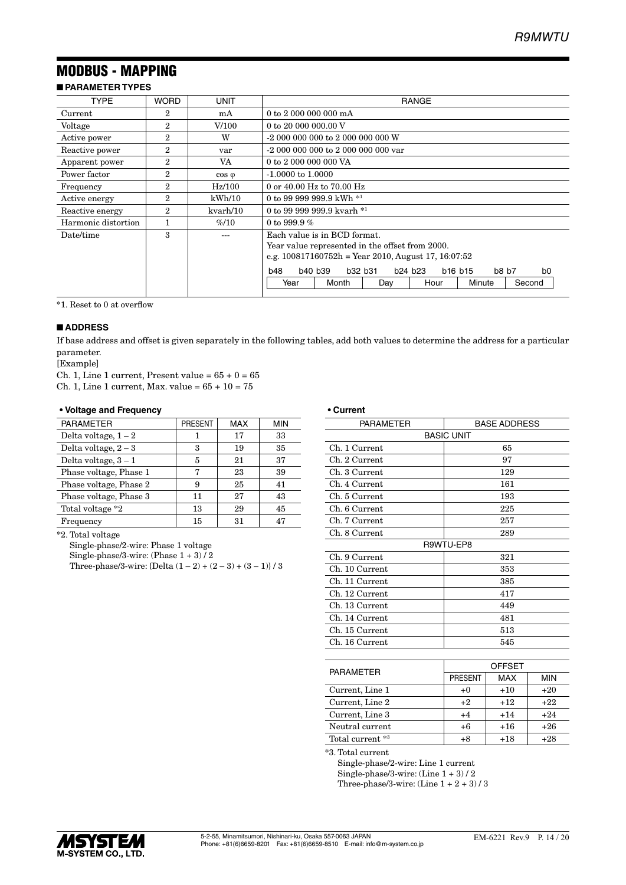# MODBUS - MAPPING

### ■ **PARAMETER TYPES**

| <b>TYPE</b>         | <b>WORD</b>    | UNIT           | <b>RANGE</b>                                          |       |         |                                 |                                 |                         |
|---------------------|----------------|----------------|-------------------------------------------------------|-------|---------|---------------------------------|---------------------------------|-------------------------|
| Current             | $\overline{2}$ | mA             | 0 to 2 000 000 000 mA                                 |       |         |                                 |                                 |                         |
| Voltage             | $\overline{2}$ | V/100          | 0 to 20 000 000,00 V                                  |       |         |                                 |                                 |                         |
| Active power        | $\overline{2}$ | W              | -2 000 000 000 to 2 000 000 000 W                     |       |         |                                 |                                 |                         |
| Reactive power      | $\overline{2}$ | yar            |                                                       |       |         |                                 |                                 |                         |
| Apparent power      | $\overline{2}$ | VA             | 0 to 2 000 000 000 VA                                 |       |         |                                 |                                 |                         |
| Power factor        | $\overline{2}$ | $\cos \varphi$ | $-1.0000$ to $1.0000$                                 |       |         |                                 |                                 |                         |
| Frequency           | $\overline{2}$ | $\rm Hz/100$   | 0 or 40.00 Hz to 70.00 Hz                             |       |         |                                 |                                 |                         |
| Active energy       | $\overline{2}$ | kWh/10         | 0 to 99 999 999.9 kWh $*1$                            |       |         |                                 |                                 |                         |
| Reactive energy     | $\mathbf{2}$   | kvarh/10       | 0 to 99 999 999.9 kvarh $*1$                          |       |         |                                 |                                 |                         |
| Harmonic distortion |                | %10            | 0 to 999.9 $%$                                        |       |         |                                 |                                 |                         |
| Date/time           | 3              |                | Each value is in BCD format.                          |       |         |                                 |                                 |                         |
|                     |                |                | Year value represented in the offset from 2000.       |       |         |                                 |                                 |                         |
|                     |                |                | e.g. $100817160752h$ = Year 2010, August 17, 16:07:52 |       |         |                                 |                                 |                         |
|                     |                |                | b40 b39<br><b>b48</b>                                 |       | b32 b31 | b <sub>24</sub> b <sub>23</sub> | b <sub>16</sub> b <sub>15</sub> | b8 b7<br>h <sub>0</sub> |
|                     |                |                | Year                                                  | Month | Day     | Hour                            | Minute                          | Second                  |

\*1. Reset to 0 at overflow

#### ■ **ADDRESS**

If base address and offset is given separately in the following tables, add both values to determine the address for a particular parameter.

[Example]

Ch. 1, Line 1 current, Present value =  $65 + 0 = 65$ 

Ch. 1, Line 1 current, Max. value =  $65 + 10 = 75$ 

#### **• Voltage and Frequency**

| <b>PARAMETER</b>       | <b>PRESENT</b> | MAX | <b>MIN</b> |
|------------------------|----------------|-----|------------|
| Delta voltage, $1-2$   |                | 17  | 33         |
| Delta voltage, $2-3$   | 3              | 19  | 35         |
| Delta voltage, $3-1$   | 5              | 21  | 37         |
| Phase voltage, Phase 1 | 7              | 23  | 39         |
| Phase voltage, Phase 2 | 9              | 25  | 41         |
| Phase voltage, Phase 3 | 11             | 27  | 43         |
| Total voltage *2       | 13             | 29  | 45         |
| Frequency              | 15             | 31  | 47         |

\*2. Total voltage

Single-phase/2-wire: Phase 1 voltage

Single-phase/3-wire: (Phase 1 + 3) / 2

Three-phase/3-wire:  ${Delta (1-2) + (2-3) + (3-1)} / 3$ 

#### **• Current**

| <b>PARAMETER</b>  | <b>BASE ADDRESS</b> |               |            |  |  |
|-------------------|---------------------|---------------|------------|--|--|
| <b>BASIC UNIT</b> |                     |               |            |  |  |
| Ch. 1 Current     | 65                  |               |            |  |  |
| Ch. 2 Current     |                     | 97            |            |  |  |
| Ch. 3 Current     |                     | 129           |            |  |  |
| Ch. 4 Current     |                     | 161           |            |  |  |
| Ch. 5 Current     |                     | 193           |            |  |  |
| Ch. 6 Current     |                     | 225           |            |  |  |
| Ch. 7 Current     |                     | 257           |            |  |  |
| Ch. 8 Current     |                     | 289           |            |  |  |
|                   | R9WTU-EP8           |               |            |  |  |
| Ch. 9 Current     | 321                 |               |            |  |  |
| Ch. 10 Current    | 353                 |               |            |  |  |
| Ch. 11 Current    | 385                 |               |            |  |  |
| Ch. 12 Current    |                     | 417           |            |  |  |
| Ch. 13 Current    |                     | 449           |            |  |  |
| Ch. 14 Current    | 481                 |               |            |  |  |
| Ch. 15 Current    | 513                 |               |            |  |  |
| Ch. 16 Current    | 545                 |               |            |  |  |
|                   |                     |               |            |  |  |
| <b>PARAMETER</b>  |                     | <b>OFFSET</b> |            |  |  |
|                   | PRESENT             | <b>MAX</b>    | <b>MIN</b> |  |  |
| Current, Line 1   | $+0$                | $+10$         | $+20$      |  |  |
| Current, Line 2   | $+2$                | $+12$         | $+22$      |  |  |
| Current, Line 3   | $+4$                | $+14$         | $+24$      |  |  |
| Neutral current   | $+6$                | $+16$         | $+26$      |  |  |
| Total current *3  | $+8$                | $+18$         | $+28$      |  |  |

\*3. Total current

Single-phase/2-wire: Line 1 current Single-phase/3-wire:  $(\text{Line } 1 + 3) / 2$ 

Three-phase/3-wire: (Line 1 + 2 + 3) / 3

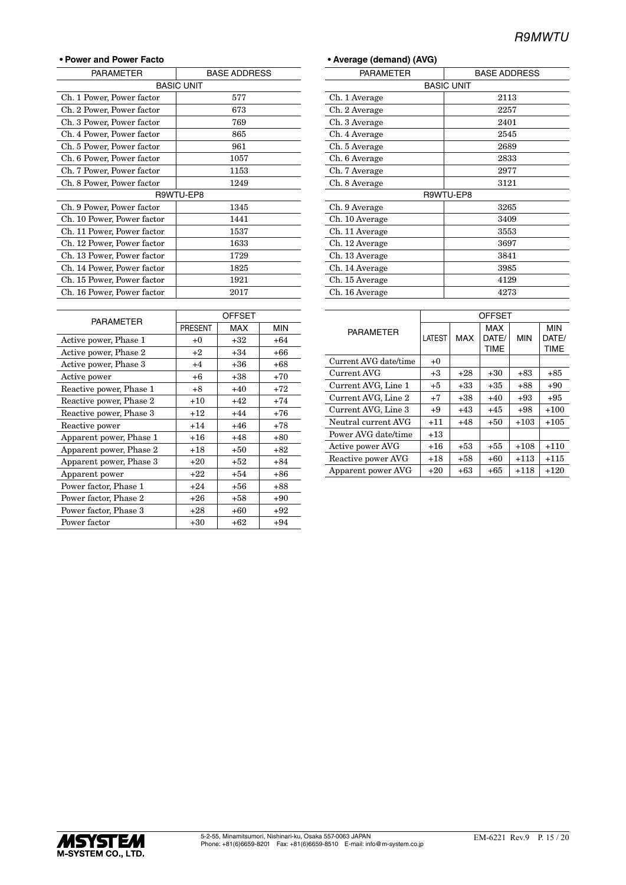#### **• Power and Power Facto**

| <b>PARAMETER</b>           | <b>BASE ADDRESS</b> |  |  |  |  |
|----------------------------|---------------------|--|--|--|--|
|                            | <b>BASIC UNIT</b>   |  |  |  |  |
| Ch. 1 Power, Power factor  | 577                 |  |  |  |  |
| Ch. 2 Power, Power factor  | 673                 |  |  |  |  |
| Ch. 3 Power, Power factor  | 769                 |  |  |  |  |
| Ch. 4 Power, Power factor  | 865                 |  |  |  |  |
| Ch. 5 Power, Power factor  | 961                 |  |  |  |  |
| Ch. 6 Power, Power factor  | 1057                |  |  |  |  |
| Ch. 7 Power, Power factor  | 1153                |  |  |  |  |
| Ch. 8 Power, Power factor  | 1249                |  |  |  |  |
| R9WTU-EP8                  |                     |  |  |  |  |
| Ch. 9 Power, Power factor  | 1345                |  |  |  |  |
| Ch. 10 Power, Power factor | 1441                |  |  |  |  |
| Ch. 11 Power, Power factor | 1537                |  |  |  |  |
| Ch. 12 Power, Power factor | 1633                |  |  |  |  |
| Ch. 13 Power, Power factor | 1729                |  |  |  |  |
| Ch. 14 Power, Power factor | 1825                |  |  |  |  |
| Ch. 15 Power, Power factor | 1921                |  |  |  |  |
| Ch. 16 Power, Power factor | 2017                |  |  |  |  |
|                            |                     |  |  |  |  |

|                         | <b>OFFSET</b> |       |            |  |
|-------------------------|---------------|-------|------------|--|
| <b>PARAMETER</b>        | PRESENT       | MAX   | <b>MIN</b> |  |
| Active power, Phase 1   | $+0$          | $+32$ | $+64$      |  |
| Active power, Phase 2   | $+2$          | $+34$ | +66        |  |
| Active power, Phase 3   | $+4$          | $+36$ | $+68$      |  |
| Active power            | $+6$          | $+38$ | $+70$      |  |
| Reactive power, Phase 1 | $+8$          | $+40$ | $+72$      |  |
| Reactive power, Phase 2 | $+10$         | $+42$ | $+74$      |  |
| Reactive power, Phase 3 | $+12$         | $+44$ | $+76$      |  |
| Reactive power          | $+14$         | $+46$ | $+78$      |  |
| Apparent power, Phase 1 | $+16$         | $+48$ | $+80$      |  |
| Apparent power, Phase 2 | $+18$         | $+50$ | $+82$      |  |
| Apparent power, Phase 3 | $+20$         | $+52$ | $+84$      |  |
| Apparent power          | $+22$         | $+54$ | $+86$      |  |
| Power factor, Phase 1   | $+24$         | +56   | $+88$      |  |
| Power factor, Phase 2   | $+26$         | $+58$ | $+90$      |  |
| Power factor, Phase 3   | $+28$         | $+60$ | $+92$      |  |
| Power factor            | $+30$         | $+62$ | $+94$      |  |

| • Average (demand) (AVG) |  |
|--------------------------|--|
|--------------------------|--|

| PARAMETER         | <b>BASE ADDRESS</b> |  |  |  |  |
|-------------------|---------------------|--|--|--|--|
| <b>BASIC UNIT</b> |                     |  |  |  |  |
| Ch. 1 Average     | 2113                |  |  |  |  |
| Ch. 2 Average     | 2257                |  |  |  |  |
| Ch. 3 Average     | 2401                |  |  |  |  |
| Ch. 4 Average     | 2545                |  |  |  |  |
| Ch. 5 Average     | 2689                |  |  |  |  |
| Ch. 6 Average     | 2833                |  |  |  |  |
| Ch. 7 Average     | 2977                |  |  |  |  |
| Ch. 8 Average     | 3121                |  |  |  |  |
|                   | R9WTU-EP8           |  |  |  |  |
| Ch. 9 Average     | 3265                |  |  |  |  |
| Ch. 10 Average    | 3409                |  |  |  |  |
| Ch. 11 Average    | 3553                |  |  |  |  |
| Ch. 12 Average    | 3697                |  |  |  |  |
| Ch. 13 Average    | 3841                |  |  |  |  |
| Ch. 14 Average    | 3985                |  |  |  |  |
| Ch. 15 Average    | 4129                |  |  |  |  |
| Ch. 16 Average    | 4273                |  |  |  |  |

|                       | <b>OFFSET</b> |            |                      |            |                                    |  |
|-----------------------|---------------|------------|----------------------|------------|------------------------------------|--|
| <b>PARAMETER</b>      | LATEST        | <b>MAX</b> | MAX<br>DATE/<br>TIME | <b>MIN</b> | <b>MIN</b><br>DATE/<br><b>TIME</b> |  |
| Current AVG date/time | $+0$          |            |                      |            |                                    |  |
| Current AVG           | $+3$          | +28        | +30                  | +83        | +85                                |  |
| Current AVG, Line 1   | $+5$          | +33        | $+35$                | +88        | $+90$                              |  |
| Current AVG, Line 2   | $+7$          | +38        | $+40$                | $+93$      | $+95$                              |  |
| Current AVG, Line 3   | +9            | $+43$      | $+45$                | +98        | $+100$                             |  |
| Neutral current AVG   | $+11$         | +48        | $+50$                | $+103$     | $+105$                             |  |
| Power AVG date/time   | $+13$         |            |                      |            |                                    |  |
| Active power AVG      | $+16$         | $+53$      | $+55$                | $+108$     | $+110$                             |  |
| Reactive power AVG    | $+18$         | $+58$      | $+60$                | +113       | $+115$                             |  |
| Apparent power AVG    | $+20$         | $+63$      | +65                  | $+118$     | $+120$                             |  |

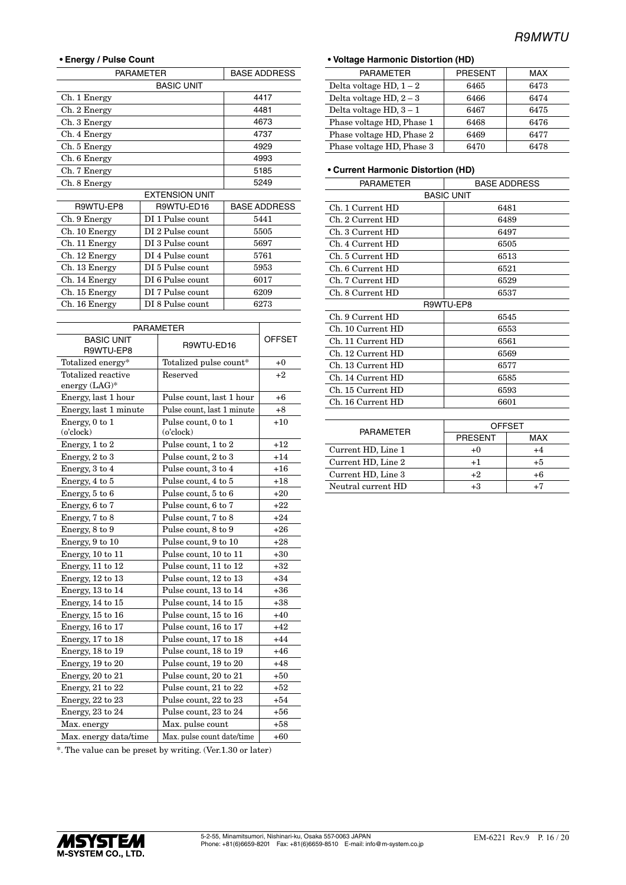#### **• Energy / Pulse Count**

| <b>PARAMETER</b>                  | <b>BASE ADDRESS</b>   |                     |
|-----------------------------------|-----------------------|---------------------|
|                                   | <b>BASIC UNIT</b>     |                     |
| Ch. 1 Energy                      |                       | 4417                |
| Ch. 2 Energy                      |                       | 4481                |
| Ch. 3 Energy                      |                       | 4673                |
| Ch. 4 Energy                      |                       | 4737                |
| Ch. 5 Energy                      |                       | 4929                |
| Ch. 6 Energy                      |                       | 4993                |
| Ch. 7 Energy                      |                       | 5185                |
| Ch. 8 Energy                      | 5249                  |                     |
|                                   | <b>EXTENSION UNIT</b> |                     |
| R9WTU-EP8                         | R9WTU-ED16            | <b>BASE ADDRESS</b> |
| Ch. 9 Energy                      | DI 1 Pulse count      | 5441                |
| Ch. 10 Energy                     | DI 2 Pulse count      | 5505                |
| Ch. 11 Energy                     | DI 3 Pulse count      | 5697                |
| Ch. 12 Energy                     | DI 4 Pulse count      | 5761                |
| DI 5 Pulse count<br>Ch. 13 Energy |                       | 5953                |
| Ch. 14 Energy                     | DI 6 Pulse count      | 6017                |
| Ch. 15 Energy                     | DI 7 Pulse count      | 6209                |
| Ch. 16 Energy                     | DI 8 Pulse count      | 6273                |

| <b>PARAMETER</b>                    |                                        |       |
|-------------------------------------|----------------------------------------|-------|
| <b>BASIC UNIT</b><br>R9WTU-EP8      | R9WTU-ED16                             |       |
| Totalized energy*                   | Totalized pulse count*                 | $+0$  |
| Totalized reactive<br>energy (LAG)* | Reserved                               | $+2$  |
| Energy, last 1 hour                 | Pulse count, last 1 hour               | $+6$  |
| Energy, last 1 minute               | Pulse count, last 1 minute             | $+8$  |
| Energy, 0 to 1<br>(o'clock)         | Pulse count, 0 to 1<br>$(o$ 'clock $)$ | $+10$ |
| Energy, 1 to 2                      | Pulse count, 1 to 2                    | $+12$ |
| Energy, 2 to 3                      | Pulse count, 2 to 3                    | $+14$ |
| Energy, 3 to 4                      | Pulse count, 3 to 4                    | $+16$ |
| Energy, 4 to 5                      | Pulse count, 4 to 5                    | $+18$ |
| Energy, 5 to 6                      | Pulse count, 5 to 6                    | $+20$ |
| Energy, 6 to 7                      | Pulse count, 6 to 7                    | $+22$ |
| Energy, 7 to 8                      | Pulse count, 7 to 8                    | $+24$ |
| Energy, 8 to 9                      | Pulse count, 8 to 9                    | $+26$ |
| Energy, 9 to 10                     | Pulse count, 9 to 10                   | $+28$ |
| Energy, 10 to 11                    | Pulse count, 10 to 11                  | $+30$ |
| Energy, 11 to 12                    | Pulse count, 11 to 12                  | $+32$ |
| Energy, 12 to 13                    | Pulse count, 12 to 13                  | $+34$ |
| Energy, 13 to 14                    | Pulse count, 13 to 14                  | $+36$ |
| Energy, 14 to 15                    | Pulse count, 14 to 15                  | $+38$ |
| Energy, 15 to 16                    | Pulse count, 15 to 16                  | $+40$ |
| Energy, 16 to 17                    | Pulse count, 16 to 17                  | $+42$ |
| Energy, 17 to 18                    | Pulse count, 17 to 18                  | $+44$ |
| Energy, 18 to 19                    | Pulse count, 18 to 19                  | $+46$ |
| Energy, 19 to 20                    | Pulse count, 19 to 20                  | $+48$ |
| Energy, 20 to 21                    | Pulse count, 20 to 21                  | $+50$ |
| Energy, 21 to 22                    | Pulse count, 21 to 22                  | $+52$ |
| Energy, $22$ to $23$                | Pulse count, 22 to 23                  | $+54$ |
| Energy, 23 to 24                    | Pulse count, 23 to 24                  | $+56$ |
| Max. energy                         | Max. pulse count                       | $+58$ |
| Max. energy data/time               | Max. pulse count date/time             | $+60$ |

\*. The value can be preset by writing. (Ver.1.30 or later)

#### **• Voltage Harmonic Distortion (HD)**

| <b>PARAMETER</b>          | <b>PRESENT</b> | <b>MAX</b> |  |  |  |
|---------------------------|----------------|------------|--|--|--|
| Delta voltage HD, $1-2$   | 6465           | 6473       |  |  |  |
| Delta voltage $HD, 2-3$   | 6466           | 6474       |  |  |  |
| Delta voltage $HD, 3-1$   | 6467           | 6475       |  |  |  |
| Phase voltage HD, Phase 1 | 6468           | 6476       |  |  |  |
| Phase voltage HD, Phase 2 | 6469           | 6477       |  |  |  |
| Phase voltage HD, Phase 3 | 6470           | 6478       |  |  |  |

#### **• Current Harmonic Distortion (HD)**

| <b>PARAMETER</b>   | <b>BASE ADDRESS</b> |               |  |  |
|--------------------|---------------------|---------------|--|--|
| <b>BASIC UNIT</b>  |                     |               |  |  |
| Ch. 1 Current HD   |                     | 6481          |  |  |
| Ch. 2 Current HD   |                     | 6489          |  |  |
| Ch. 3 Current HD   |                     | 6497          |  |  |
| Ch. 4 Current HD   |                     | 6505          |  |  |
| Ch. 5 Current HD   |                     | 6513          |  |  |
| Ch. 6 Current HD   |                     | 6521          |  |  |
| Ch. 7 Current HD   |                     | 6529          |  |  |
| Ch. 8 Current HD   |                     | 6537          |  |  |
|                    | R9WTU-EP8           |               |  |  |
| Ch. 9 Current HD   | 6545                |               |  |  |
| Ch. 10 Current HD  | 6553                |               |  |  |
| Ch. 11 Current HD  |                     | 6561          |  |  |
| Ch. 12 Current HD  |                     | 6569          |  |  |
| Ch. 13 Current HD  |                     | 6577          |  |  |
| Ch. 14 Current HD  |                     | 6585          |  |  |
| Ch. 15 Current HD  | 6593                |               |  |  |
| Ch. 16 Current HD  | 6601                |               |  |  |
|                    |                     |               |  |  |
| <b>PARAMETER</b>   |                     | <b>OFFSET</b> |  |  |
|                    | <b>PRESENT</b>      | <b>MAX</b>    |  |  |
| Current HD, Line 1 | $+0$                | $+4$          |  |  |
| Current HD, Line 2 | $^{+1}$             | $+5$          |  |  |
| Current HD, Line 3 | $+2$                | $+6$          |  |  |
| Neutral current HD | $+3$                | $+7$          |  |  |

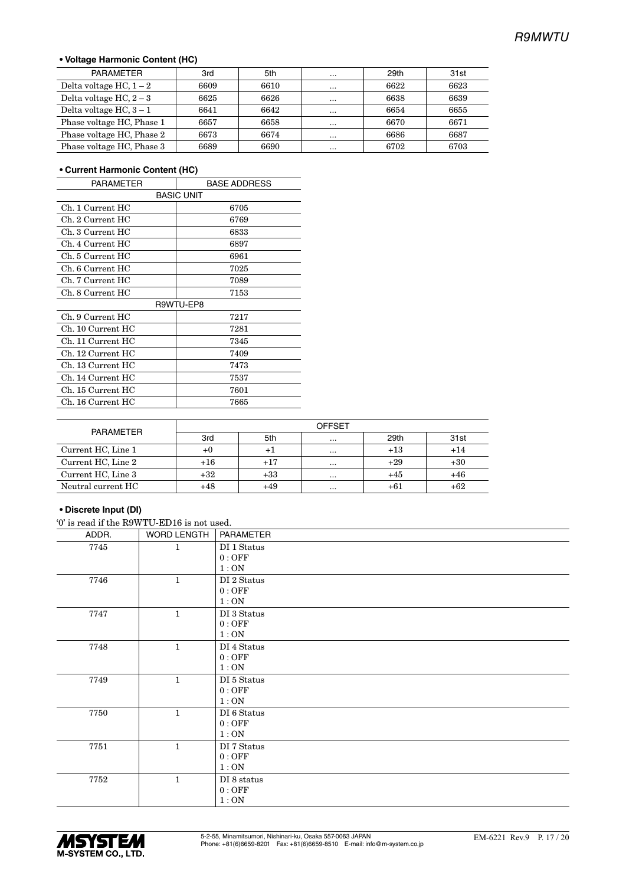#### **• Voltage Harmonic Content (HC)**

| PARAMETER                 | 3rd  | 5th  | $\cdots$ | 29th | 31st |
|---------------------------|------|------|----------|------|------|
| Delta voltage HC, $1-2$   | 6609 | 6610 | $\cdots$ | 6622 | 6623 |
| Delta voltage $HC, 2-3$   | 6625 | 6626 | $\cdots$ | 6638 | 6639 |
| Delta voltage $HC, 3-1$   | 6641 | 6642 | $\cdots$ | 6654 | 6655 |
| Phase voltage HC, Phase 1 | 6657 | 6658 | $\cdots$ | 6670 | 6671 |
| Phase voltage HC, Phase 2 | 6673 | 6674 | $\cdots$ | 6686 | 6687 |
| Phase voltage HC, Phase 3 | 6689 | 6690 | $\cdots$ | 6702 | 6703 |

#### **• Current Harmonic Content (HC)**

| <b>PARAMETER</b>  | <b>BASE ADDRESS</b> |
|-------------------|---------------------|
|                   | <b>BASIC UNIT</b>   |
| Ch. 1 Current HC  | 6705                |
| Ch. 2 Current HC  | 6769                |
| Ch. 3 Current HC  | 6833                |
| Ch. 4 Current HC  | 6897                |
| Ch. 5 Current HC  | 6961                |
| Ch. 6 Current HC  | 7025                |
| Ch. 7 Current HC  | 7089                |
| Ch. 8 Current HC  | 7153                |
|                   | R9WTU-EP8           |
| Ch. 9 Current HC  | 7217                |
| Ch. 10 Current HC | 7281                |
| Ch. 11 Current HC | 7345                |
| Ch. 12 Current HC | 7409                |
| Ch. 13 Current HC | 7473                |
| Ch. 14 Current HC | 7537                |
| Ch. 15 Current HC | 7601                |
| Ch. 16 Current HC | 7665                |

| <b>PARAMETER</b>   | <b>OFFSET</b> |             |          |       |       |  |
|--------------------|---------------|-------------|----------|-------|-------|--|
|                    | 3rd           | 5th         | $\cdots$ | 29th  | 31st  |  |
| Current HC, Line 1 | $+0$          | $^{\rm +1}$ | $\cdots$ | $+13$ | $+14$ |  |
| Current HC, Line 2 | $+16$         | $+17$       | $\cdots$ | $+29$ | $+30$ |  |
| Current HC, Line 3 | $+32$         | $+33$       | $\cdots$ | $+45$ | +46   |  |
| Neutral current HC | $+48$         | +49         | $\cdots$ | $+61$ | +62   |  |

#### **• Discrete Input (DI)**

|  |  |  | """ is read if the R9WTU-ED16 is not used. |  |  |
|--|--|--|--------------------------------------------|--|--|
|--|--|--|--------------------------------------------|--|--|

| ADDR. | <b>WORD LENGTH</b> | <b>PARAMETER</b>  |
|-------|--------------------|-------------------|
| 7745  | 1                  | DI 1 Status       |
|       |                    | 0:OFF             |
|       |                    | 1:ON              |
| 7746  | $\mathbf{1}$       | DI 2 Status       |
|       |                    | 0:OFF             |
|       |                    | 1:ON              |
| 7747  | $\mathbf{1}$       | DI 3 Status       |
|       |                    | 0:OFF             |
|       |                    | 1:ON              |
| 7748  | $\mathbf{1}$       | $\rm DI$ 4 Status |
|       |                    | 0:OFF             |
|       |                    | 1:ON              |
| 7749  | $\mathbf{1}$       | DI 5 Status       |
|       |                    | 0:OFF             |
|       |                    | 1:ON              |
| 7750  | $\mathbf{1}$       | DI 6 Status       |
|       |                    | 0:OFF             |
|       |                    | 1:ON              |
| 7751  | $\mathbf{1}$       | DI 7 Status       |
|       |                    | 0:OFF             |
|       |                    | 1:ON              |
| 7752  | $\mathbf{1}$       | DI 8 status       |
|       |                    | 0:OFF             |
|       |                    | 1:ON              |

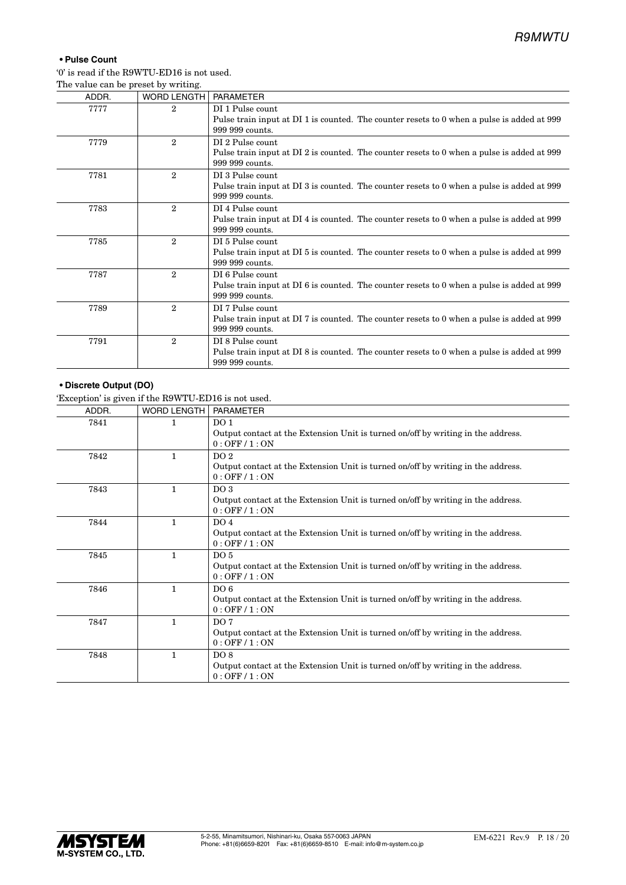#### **• Pulse Count**

'0' is read if the R9WTU-ED16 is not used. The value can be preset by writing.

| ADDR. | <b>WORD LENGTH</b> | <b>PARAMETER</b>                                                                                                                  |
|-------|--------------------|-----------------------------------------------------------------------------------------------------------------------------------|
| 7777  | $\overline{2}$     | DI 1 Pulse count<br>Pulse train input at DI 1 is counted. The counter resets to 0 when a pulse is added at 999<br>999 999 counts. |
| 7779  | $\mathbf{2}$       | DI 2 Pulse count<br>Pulse train input at DI 2 is counted. The counter resets to 0 when a pulse is added at 999<br>999 999 counts. |
| 7781  | $\mathbf{2}$       | DI 3 Pulse count<br>Pulse train input at DI 3 is counted. The counter resets to 0 when a pulse is added at 999<br>999 999 counts. |
| 7783  | $\overline{2}$     | DI 4 Pulse count<br>Pulse train input at DI 4 is counted. The counter resets to 0 when a pulse is added at 999<br>999 999 counts. |
| 7785  | $\mathbf{2}$       | DI 5 Pulse count<br>Pulse train input at DI 5 is counted. The counter resets to 0 when a pulse is added at 999<br>999 999 counts. |
| 7787  | $\mathbf{2}$       | DI 6 Pulse count<br>Pulse train input at DI 6 is counted. The counter resets to 0 when a pulse is added at 999<br>999 999 counts. |
| 7789  | $\mathbf{2}$       | DI 7 Pulse count<br>Pulse train input at DI 7 is counted. The counter resets to 0 when a pulse is added at 999<br>999 999 counts. |
| 7791  | $\mathbf{2}$       | DI 8 Pulse count<br>Pulse train input at DI 8 is counted. The counter resets to 0 when a pulse is added at 999<br>999 999 counts. |

#### **• Discrete Output (DO)**

'Exception' is given if the R9WTU-ED16 is not used.

| DO <sub>1</sub><br>7841<br>1<br>Output contact at the Extension Unit is turned on/off by writing in the address.<br>$0:$ OFF $/1:$ ON<br>DO <sub>2</sub><br>7842<br>1<br>Output contact at the Extension Unit is turned on/off by writing in the address.<br>$0:$ OFF $/$ 1 : ON<br>7843<br>DO <sub>3</sub><br>1<br>Output contact at the Extension Unit is turned on/off by writing in the address.<br>$0:$ OFF $/$ 1 : ON<br>7844<br>DO <sub>4</sub><br>1<br>Output contact at the Extension Unit is turned on/off by writing in the address.<br>$0:$ OFF $/$ 1 : ON<br>DO <sub>5</sub><br>7845<br>1<br>Output contact at the Extension Unit is turned on/off by writing in the address.<br>$0:$ OFF $/1:$ ON<br>7846<br>DO <sub>6</sub><br>1<br>Output contact at the Extension Unit is turned on/off by writing in the address.<br>$0:$ OFF $/$ 1 : ON | ADDR. | <b>WORD LENGTH</b> | <b>PARAMETER</b> |
|------------------------------------------------------------------------------------------------------------------------------------------------------------------------------------------------------------------------------------------------------------------------------------------------------------------------------------------------------------------------------------------------------------------------------------------------------------------------------------------------------------------------------------------------------------------------------------------------------------------------------------------------------------------------------------------------------------------------------------------------------------------------------------------------------------------------------------------------------------|-------|--------------------|------------------|
|                                                                                                                                                                                                                                                                                                                                                                                                                                                                                                                                                                                                                                                                                                                                                                                                                                                            |       |                    |                  |
|                                                                                                                                                                                                                                                                                                                                                                                                                                                                                                                                                                                                                                                                                                                                                                                                                                                            |       |                    |                  |
|                                                                                                                                                                                                                                                                                                                                                                                                                                                                                                                                                                                                                                                                                                                                                                                                                                                            |       |                    |                  |
|                                                                                                                                                                                                                                                                                                                                                                                                                                                                                                                                                                                                                                                                                                                                                                                                                                                            |       |                    |                  |
|                                                                                                                                                                                                                                                                                                                                                                                                                                                                                                                                                                                                                                                                                                                                                                                                                                                            |       |                    |                  |
|                                                                                                                                                                                                                                                                                                                                                                                                                                                                                                                                                                                                                                                                                                                                                                                                                                                            |       |                    |                  |
|                                                                                                                                                                                                                                                                                                                                                                                                                                                                                                                                                                                                                                                                                                                                                                                                                                                            |       |                    |                  |
|                                                                                                                                                                                                                                                                                                                                                                                                                                                                                                                                                                                                                                                                                                                                                                                                                                                            |       |                    |                  |
|                                                                                                                                                                                                                                                                                                                                                                                                                                                                                                                                                                                                                                                                                                                                                                                                                                                            |       |                    |                  |
|                                                                                                                                                                                                                                                                                                                                                                                                                                                                                                                                                                                                                                                                                                                                                                                                                                                            |       |                    |                  |
|                                                                                                                                                                                                                                                                                                                                                                                                                                                                                                                                                                                                                                                                                                                                                                                                                                                            |       |                    |                  |
|                                                                                                                                                                                                                                                                                                                                                                                                                                                                                                                                                                                                                                                                                                                                                                                                                                                            |       |                    |                  |
|                                                                                                                                                                                                                                                                                                                                                                                                                                                                                                                                                                                                                                                                                                                                                                                                                                                            | 7847  | 1                  | DO <sub>7</sub>  |
| Output contact at the Extension Unit is turned on/off by writing in the address.<br>$0:$ OFF $/$ 1 : ON                                                                                                                                                                                                                                                                                                                                                                                                                                                                                                                                                                                                                                                                                                                                                    |       |                    |                  |
| DO 8<br>7848<br>$\mathbf{1}$                                                                                                                                                                                                                                                                                                                                                                                                                                                                                                                                                                                                                                                                                                                                                                                                                               |       |                    |                  |
| Output contact at the Extension Unit is turned on/off by writing in the address.<br>$0:$ OFF $/$ 1 : ON                                                                                                                                                                                                                                                                                                                                                                                                                                                                                                                                                                                                                                                                                                                                                    |       |                    |                  |

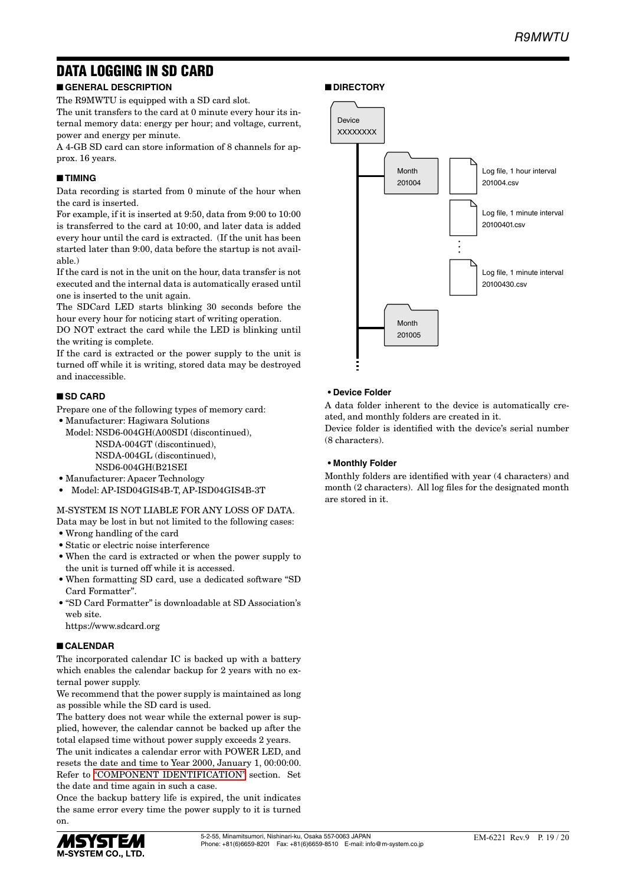# DATA LOGGING IN SD CARD

### ■ **GENERAL DESCRIPTION**

The R9MWTU is equipped with a SD card slot.

The unit transfers to the card at 0 minute every hour its internal memory data: energy per hour; and voltage, current, power and energy per minute.

A 4-GB SD card can store information of 8 channels for approx. 16 years.

#### ■ **TIMING**

Data recording is started from 0 minute of the hour when the card is inserted.

For example, if it is inserted at 9:50, data from 9:00 to 10:00 is transferred to the card at 10:00, and later data is added every hour until the card is extracted. (If the unit has been started later than 9:00, data before the startup is not available.)

If the card is not in the unit on the hour, data transfer is not executed and the internal data is automatically erased until one is inserted to the unit again.

The SDCard LED starts blinking 30 seconds before the hour every hour for noticing start of writing operation.

DO NOT extract the card while the LED is blinking until the writing is complete.

If the card is extracted or the power supply to the unit is turned off while it is writing, stored data may be destroyed and inaccessible.

#### ■ **SD CARD**

Prepare one of the following types of memory card:

• Manufacturer: Hagiwara Solutions

Model: NSD6-004GH(A00SDI (discontinued), NSDA-004GT (discontinued), NSDA-004GL (discontinued), NSD6-004GH(B21SEI

- Manufacturer: Apacer Technology
- Model: AP-ISD04GIS4B-T, AP-ISD04GIS4B-3T

M-SYSTEM IS NOT LIABLE FOR ANY LOSS OF DATA.

- Data may be lost in but not limited to the following cases: • Wrong handling of the card
- Static or electric noise interference
- When the card is extracted or when the power supply to the unit is turned off while it is accessed.
- When formatting SD card, use a dedicated software "SD Card Formatter".
- "SD Card Formatter" is downloadable at SD Association's web site.

https://www.sdcard.org

#### ■ **CALENDAR**

The incorporated calendar IC is backed up with a battery which enables the calendar backup for 2 years with no external power supply.

We recommend that the power supply is maintained as long as possible while the SD card is used.

The battery does not wear while the external power is supplied, however, the calendar cannot be backed up after the total elapsed time without power supply exceeds 2 years.

The unit indicates a calendar error with POWER LED, and resets the date and time to Year 2000, January 1, 00:00:00. Refer to ["COMPONENT IDENTIFICATION"](#page-1-0) section. Set the date and time again in such a case.

Once the backup battery life is expired, the unit indicates the same error every time the power supply to it is turned on.



#### ■ **DIRECTORY**



#### **• Device Folder**

A data folder inherent to the device is automatically created, and monthly folders are created in it.

Device folder is identified with the device's serial number (8 characters).

#### **• Monthly Folder**

Monthly folders are identified with year (4 characters) and month (2 characters). All log files for the designated month are stored in it.